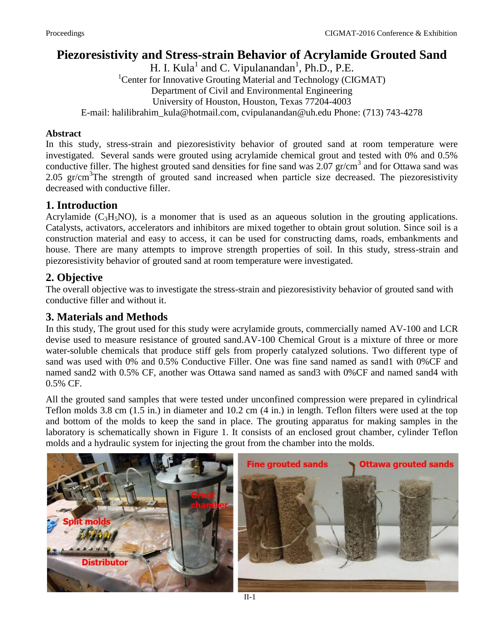## **Piezoresistivity and Stress-strain Behavior of Acrylamide Grouted Sand**

H. I. Kula<sup>1</sup> and C. Vipulanandan<sup>1</sup>, Ph.D., P.E. <sup>1</sup>Center for Innovative Grouting Material and Technology (CIGMAT) Department of Civil and Environmental Engineering University of Houston, Houston, Texas 77204-4003 E-mail: [halilibrahim\\_kula@hotmail.com,](mailto:halilibrahim_kula@hotmail.com) cvipulanandan@uh.edu Phone: (713) 743-4278

#### **Abstract**

In this study, stress-strain and piezoresistivity behavior of grouted sand at room temperature were investigated. Several sands were grouted using acrylamide chemical grout and tested with 0% and 0.5% conductive filler. The highest grouted sand densities for fine sand was  $2.07$  gr/cm<sup>3</sup> and for Ottawa sand was 2.05 gr/cm<sup>3</sup>The strength of grouted sand increased when particle size decreased. The piezoresistivity decreased with conductive filler.

## **1. Introduction**

Acrylamide  $(C_3H_5NO)$ , is a monomer that is used as an aqueous solution in the grouting applications. Catalysts, activators, accelerators and inhibitors are mixed together to obtain grout solution. Since soil is a construction material and easy to access, it can be used for constructing dams, roads, embankments and house. There are many attempts to improve strength properties of soil. In this study, stress-strain and piezoresistivity behavior of grouted sand at room temperature were investigated.

## **2. Objective**

The overall objective was to investigate the stress-strain and piezoresistivity behavior of grouted sand with conductive filler and without it.

### **3. Materials and Methods**

In this study, The grout used for this study were acrylamide grouts, commercially named AV-100 and LCR devise used to measure resistance of grouted sand.AV-100 Chemical Grout is a mixture of three or more water-soluble chemicals that produce stiff gels from properly catalyzed solutions. Two different type of sand was used with 0% and 0.5% Conductive Filler. One was fine sand named as sand1 with 0%CF and named sand2 with 0.5% CF, another was Ottawa sand named as sand3 with 0%CF and named sand4 with 0.5% CF.

All the grouted sand samples that were tested under unconfined compression were prepared in cylindrical Teflon molds 3.8 cm (1.5 in.) in diameter and 10.2 cm (4 in.) in length. Teflon filters were used at the top and bottom of the molds to keep the sand in place. The grouting apparatus for making samples in the laboratory is schematically shown in Figure 1. It consists of an enclosed grout chamber, cylinder Teflon molds and a hydraulic system for injecting the grout from the chamber into the molds.



II-1